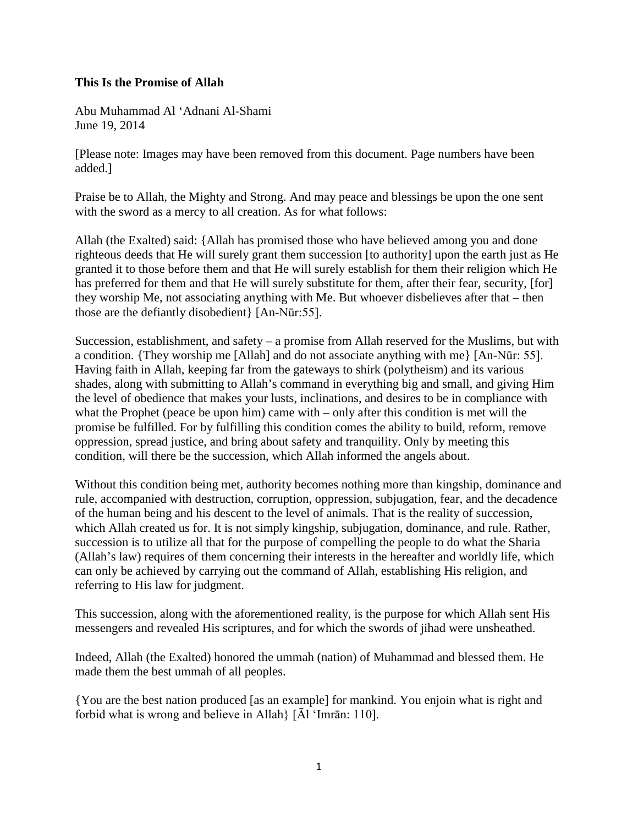## **This Is the Promise of Allah**

Abu Muhammad Al 'Adnani Al-Shami June 19, 2014

[Please note: Images may have been removed from this document. Page numbers have been added.]

Praise be to Allah, the Mighty and Strong. And may peace and blessings be upon the one sent with the sword as a mercy to all creation. As for what follows:

Allah (the Exalted) said: {Allah has promised those who have believed among you and done righteous deeds that He will surely grant them succession [to authority] upon the earth just as He granted it to those before them and that He will surely establish for them their religion which He has preferred for them and that He will surely substitute for them, after their fear, security, [for] they worship Me, not associating anything with Me. But whoever disbelieves after that – then those are the defiantly disobedient} [An-Nūr:55].

Succession, establishment, and safety – a promise from Allah reserved for the Muslims, but with a condition. {They worship me [Allah] and do not associate anything with me} [An-Nūr: 55]. Having faith in Allah, keeping far from the gateways to shirk (polytheism) and its various shades, along with submitting to Allah's command in everything big and small, and giving Him the level of obedience that makes your lusts, inclinations, and desires to be in compliance with what the Prophet (peace be upon him) came with – only after this condition is met will the promise be fulfilled. For by fulfilling this condition comes the ability to build, reform, remove oppression, spread justice, and bring about safety and tranquility. Only by meeting this condition, will there be the succession, which Allah informed the angels about.

Without this condition being met, authority becomes nothing more than kingship, dominance and rule, accompanied with destruction, corruption, oppression, subjugation, fear, and the decadence of the human being and his descent to the level of animals. That is the reality of succession, which Allah created us for. It is not simply kingship, subjugation, dominance, and rule. Rather, succession is to utilize all that for the purpose of compelling the people to do what the Sharia (Allah's law) requires of them concerning their interests in the hereafter and worldly life, which can only be achieved by carrying out the command of Allah, establishing His religion, and referring to His law for judgment.

This succession, along with the aforementioned reality, is the purpose for which Allah sent His messengers and revealed His scriptures, and for which the swords of jihad were unsheathed.

Indeed, Allah (the Exalted) honored the ummah (nation) of Muhammad and blessed them. He made them the best ummah of all peoples.

{You are the best nation produced [as an example] for mankind. You enjoin what is right and forbid what is wrong and believe in Allah} [Āl 'Imrān: 110].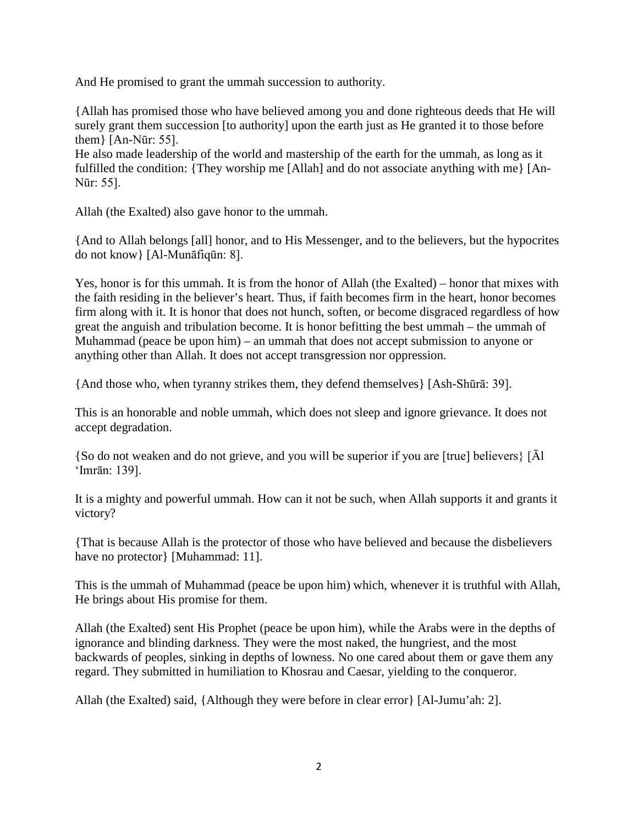And He promised to grant the ummah succession to authority.

{Allah has promised those who have believed among you and done righteous deeds that He will surely grant them succession [to authority] upon the earth just as He granted it to those before them} [An-Nūr: 55].

He also made leadership of the world and mastership of the earth for the ummah, as long as it fulfilled the condition: {They worship me [Allah] and do not associate anything with me} [An-Nūr: 55].

Allah (the Exalted) also gave honor to the ummah.

{And to Allah belongs [all] honor, and to His Messenger, and to the believers, but the hypocrites do not know} [Al-Munāfiqūn: 8].

Yes, honor is for this ummah. It is from the honor of Allah (the Exalted) – honor that mixes with the faith residing in the believer's heart. Thus, if faith becomes firm in the heart, honor becomes firm along with it. It is honor that does not hunch, soften, or become disgraced regardless of how great the anguish and tribulation become. It is honor befitting the best ummah – the ummah of Muhammad (peace be upon him) – an ummah that does not accept submission to anyone or anything other than Allah. It does not accept transgression nor oppression.

{And those who, when tyranny strikes them, they defend themselves} [Ash-Shūrā: 39].

This is an honorable and noble ummah, which does not sleep and ignore grievance. It does not accept degradation.

{So do not weaken and do not grieve, and you will be superior if you are [true] believers} [Āl 'Imrān: 139].

It is a mighty and powerful ummah. How can it not be such, when Allah supports it and grants it victory?

{That is because Allah is the protector of those who have believed and because the disbelievers have no protector { [Muhammad: 11].

This is the ummah of Muhammad (peace be upon him) which, whenever it is truthful with Allah, He brings about His promise for them.

Allah (the Exalted) sent His Prophet (peace be upon him), while the Arabs were in the depths of ignorance and blinding darkness. They were the most naked, the hungriest, and the most backwards of peoples, sinking in depths of lowness. No one cared about them or gave them any regard. They submitted in humiliation to Khosrau and Caesar, yielding to the conqueror.

Allah (the Exalted) said, {Although they were before in clear error} [Al-Jumu'ah: 2].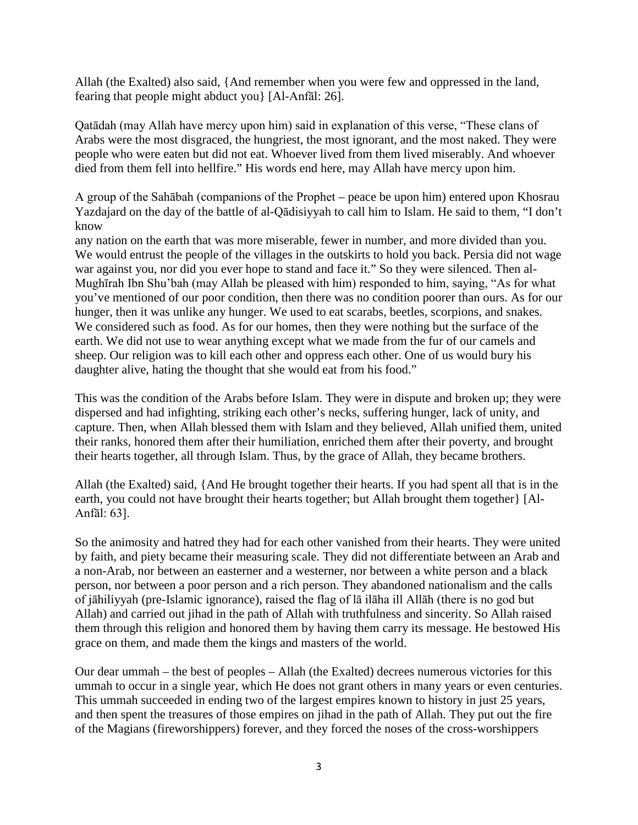Allah (the Exalted) also said, {And remember when you were few and oppressed in the land, fearing that people might abduct you} [Al-Anfāl: 26].

Qatādah (may Allah have mercy upon him) said in explanation of this verse, "These clans of Arabs were the most disgraced, the hungriest, the most ignorant, and the most naked. They were people who were eaten but did not eat. Whoever lived from them lived miserably. And whoever died from them fell into hellfire." His words end here, may Allah have mercy upon him.

A group of the Sahābah (companions of the Prophet – peace be upon him) entered upon Khosrau Yazdajard on the day of the battle of al-Qādisiyyah to call him to Islam. He said to them, "I don't know

any nation on the earth that was more miserable, fewer in number, and more divided than you. We would entrust the people of the villages in the outskirts to hold you back. Persia did not wage war against you, nor did you ever hope to stand and face it." So they were silenced. Then al-Mughīrah Ibn Shu'bah (may Allah be pleased with him) responded to him, saying, "As for what you've mentioned of our poor condition, then there was no condition poorer than ours. As for our hunger, then it was unlike any hunger. We used to eat scarabs, beetles, scorpions, and snakes. We considered such as food. As for our homes, then they were nothing but the surface of the earth. We did not use to wear anything except what we made from the fur of our camels and sheep. Our religion was to kill each other and oppress each other. One of us would bury his daughter alive, hating the thought that she would eat from his food."

This was the condition of the Arabs before Islam. They were in dispute and broken up; they were dispersed and had infighting, striking each other's necks, suffering hunger, lack of unity, and capture. Then, when Allah blessed them with Islam and they believed, Allah unified them, united their ranks, honored them after their humiliation, enriched them after their poverty, and brought their hearts together, all through Islam. Thus, by the grace of Allah, they became brothers.

Allah (the Exalted) said, {And He brought together their hearts. If you had spent all that is in the earth, you could not have brought their hearts together; but Allah brought them together} [Al-Anfāl: 63].

So the animosity and hatred they had for each other vanished from their hearts. They were united by faith, and piety became their measuring scale. They did not differentiate between an Arab and a non-Arab, nor between an easterner and a westerner, nor between a white person and a black person, nor between a poor person and a rich person. They abandoned nationalism and the calls of jāhiliyyah (pre-Islamic ignorance), raised the flag of lā ilāha ill Allāh (there is no god but Allah) and carried out jihad in the path of Allah with truthfulness and sincerity. So Allah raised them through this religion and honored them by having them carry its message. He bestowed His grace on them, and made them the kings and masters of the world.

Our dear ummah – the best of peoples – Allah (the Exalted) decrees numerous victories for this ummah to occur in a single year, which He does not grant others in many years or even centuries. This ummah succeeded in ending two of the largest empires known to history in just 25 years, and then spent the treasures of those empires on jihad in the path of Allah. They put out the fire of the Magians (fireworshippers) forever, and they forced the noses of the cross-worshippers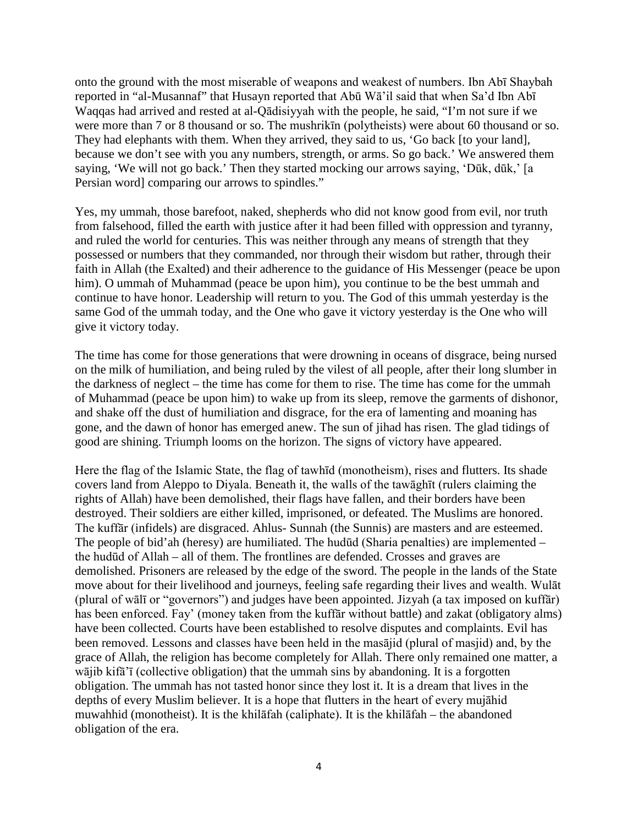onto the ground with the most miserable of weapons and weakest of numbers. Ibn Abī Shaybah reported in "al-Musannaf" that Husayn reported that Abū Wā'il said that when Sa'd Ibn Abī Waqqas had arrived and rested at al-Qādisiyyah with the people, he said, "I'm not sure if we were more than 7 or 8 thousand or so. The mushrikīn (polytheists) were about 60 thousand or so. They had elephants with them. When they arrived, they said to us, 'Go back [to your land], because we don't see with you any numbers, strength, or arms. So go back.' We answered them saying, 'We will not go back.' Then they started mocking our arrows saying, 'Dūk, dūk,' [a Persian word] comparing our arrows to spindles."

Yes, my ummah, those barefoot, naked, shepherds who did not know good from evil, nor truth from falsehood, filled the earth with justice after it had been filled with oppression and tyranny, and ruled the world for centuries. This was neither through any means of strength that they possessed or numbers that they commanded, nor through their wisdom but rather, through their faith in Allah (the Exalted) and their adherence to the guidance of His Messenger (peace be upon him). O ummah of Muhammad (peace be upon him), you continue to be the best ummah and continue to have honor. Leadership will return to you. The God of this ummah yesterday is the same God of the ummah today, and the One who gave it victory yesterday is the One who will give it victory today.

The time has come for those generations that were drowning in oceans of disgrace, being nursed on the milk of humiliation, and being ruled by the vilest of all people, after their long slumber in the darkness of neglect – the time has come for them to rise. The time has come for the ummah of Muhammad (peace be upon him) to wake up from its sleep, remove the garments of dishonor, and shake off the dust of humiliation and disgrace, for the era of lamenting and moaning has gone, and the dawn of honor has emerged anew. The sun of jihad has risen. The glad tidings of good are shining. Triumph looms on the horizon. The signs of victory have appeared.

Here the flag of the Islamic State, the flag of tawhīd (monotheism), rises and flutters. Its shade covers land from Aleppo to Diyala. Beneath it, the walls of the tawāghīt (rulers claiming the rights of Allah) have been demolished, their flags have fallen, and their borders have been destroyed. Their soldiers are either killed, imprisoned, or defeated. The Muslims are honored. The kuffār (infidels) are disgraced. Ahlus- Sunnah (the Sunnis) are masters and are esteemed. The people of bid'ah (heresy) are humiliated. The hudūd (Sharia penalties) are implemented – the hudūd of Allah – all of them. The frontlines are defended. Crosses and graves are demolished. Prisoners are released by the edge of the sword. The people in the lands of the State move about for their livelihood and journeys, feeling safe regarding their lives and wealth. Wulāt (plural of wālī or "governors") and judges have been appointed. Jizyah (a tax imposed on kuffār) has been enforced. Fay' (money taken from the kuffār without battle) and zakat (obligatory alms) have been collected. Courts have been established to resolve disputes and complaints. Evil has been removed. Lessons and classes have been held in the masājid (plural of masjid) and, by the grace of Allah, the religion has become completely for Allah. There only remained one matter, a wājib kifā'ī (collective obligation) that the ummah sins by abandoning. It is a forgotten obligation. The ummah has not tasted honor since they lost it. It is a dream that lives in the depths of every Muslim believer. It is a hope that flutters in the heart of every mujāhid muwahhid (monotheist). It is the khilāfah (caliphate). It is the khilāfah – the abandoned obligation of the era.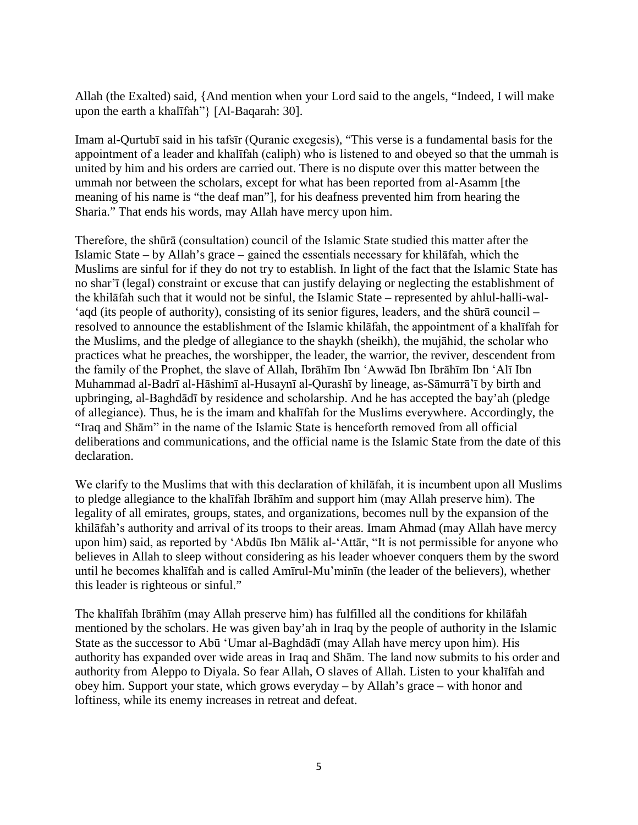Allah (the Exalted) said, {And mention when your Lord said to the angels, "Indeed, I will make upon the earth a khalīfah"} [Al-Baqarah: 30].

Imam al-Qurtubī said in his tafsīr (Quranic exegesis), "This verse is a fundamental basis for the appointment of a leader and khalīfah (caliph) who is listened to and obeyed so that the ummah is united by him and his orders are carried out. There is no dispute over this matter between the ummah nor between the scholars, except for what has been reported from al-Asamm [the meaning of his name is "the deaf man"], for his deafness prevented him from hearing the Sharia." That ends his words, may Allah have mercy upon him.

Therefore, the shūrā (consultation) council of the Islamic State studied this matter after the Islamic State – by Allah's grace – gained the essentials necessary for khilāfah, which the Muslims are sinful for if they do not try to establish. In light of the fact that the Islamic State has no shar'ī (legal) constraint or excuse that can justify delaying or neglecting the establishment of the khilāfah such that it would not be sinful, the Islamic State – represented by ahlul-halli-wal- 'aqd (its people of authority), consisting of its senior figures, leaders, and the shūrā council – resolved to announce the establishment of the Islamic khilāfah, the appointment of a khalīfah for the Muslims, and the pledge of allegiance to the shaykh (sheikh), the mujāhid, the scholar who practices what he preaches, the worshipper, the leader, the warrior, the reviver, descendent from the family of the Prophet, the slave of Allah, Ibrāhīm Ibn 'Awwād Ibn Ibrāhīm Ibn 'Alī Ibn Muhammad al-Badrī al-Hāshimī al-Husaynī al-Qurashī by lineage, as-Sāmurrā'ī by birth and upbringing, al-Baghdādī by residence and scholarship. And he has accepted the bay'ah (pledge of allegiance). Thus, he is the imam and khalīfah for the Muslims everywhere. Accordingly, the "Iraq and Shām" in the name of the Islamic State is henceforth removed from all official deliberations and communications, and the official name is the Islamic State from the date of this declaration.

We clarify to the Muslims that with this declaration of khilāfah, it is incumbent upon all Muslims to pledge allegiance to the khalīfah Ibrāhīm and support him (may Allah preserve him). The legality of all emirates, groups, states, and organizations, becomes null by the expansion of the khilāfah's authority and arrival of its troops to their areas. Imam Ahmad (may Allah have mercy upon him) said, as reported by 'Abdūs Ibn Mālik al-'Attār, "It is not permissible for anyone who believes in Allah to sleep without considering as his leader whoever conquers them by the sword until he becomes khalīfah and is called Amīrul-Mu'minīn (the leader of the believers), whether this leader is righteous or sinful."

The khalīfah Ibrāhīm (may Allah preserve him) has fulfilled all the conditions for khilāfah mentioned by the scholars. He was given bay'ah in Iraq by the people of authority in the Islamic State as the successor to Abū 'Umar al-Baghdādī (may Allah have mercy upon him). His authority has expanded over wide areas in Iraq and Shām. The land now submits to his order and authority from Aleppo to Diyala. So fear Allah, O slaves of Allah. Listen to your khalīfah and obey him. Support your state, which grows everyday – by Allah's grace – with honor and loftiness, while its enemy increases in retreat and defeat.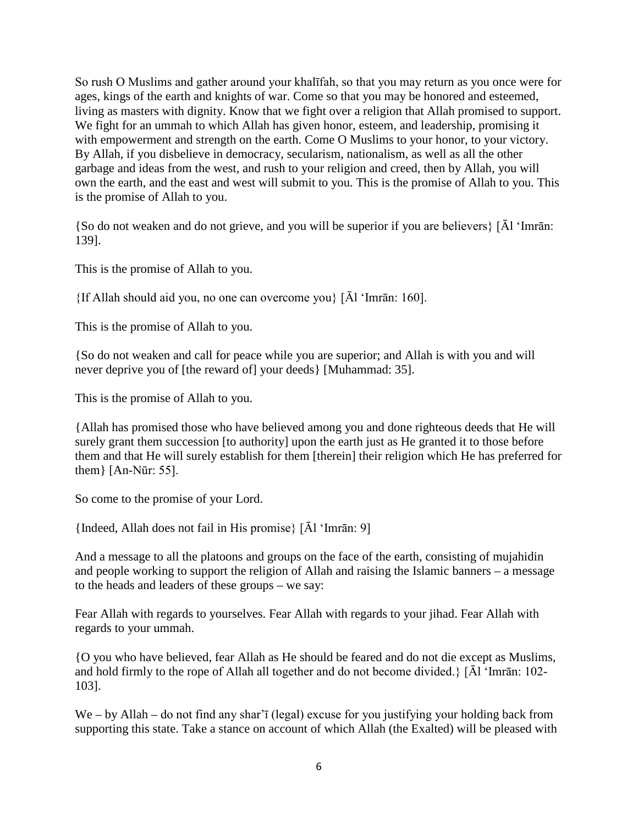So rush O Muslims and gather around your khalīfah, so that you may return as you once were for ages, kings of the earth and knights of war. Come so that you may be honored and esteemed, living as masters with dignity. Know that we fight over a religion that Allah promised to support. We fight for an ummah to which Allah has given honor, esteem, and leadership, promising it with empowerment and strength on the earth. Come O Muslims to your honor, to your victory. By Allah, if you disbelieve in democracy, secularism, nationalism, as well as all the other garbage and ideas from the west, and rush to your religion and creed, then by Allah, you will own the earth, and the east and west will submit to you. This is the promise of Allah to you. This is the promise of Allah to you.

{So do not weaken and do not grieve, and you will be superior if you are believers} [Āl 'Imrān: 139].

This is the promise of Allah to you.

{If Allah should aid you, no one can overcome you} [Āl 'Imrān: 160].

This is the promise of Allah to you.

{So do not weaken and call for peace while you are superior; and Allah is with you and will never deprive you of [the reward of] your deeds} [Muhammad: 35].

This is the promise of Allah to you.

{Allah has promised those who have believed among you and done righteous deeds that He will surely grant them succession [to authority] upon the earth just as He granted it to those before them and that He will surely establish for them [therein] their religion which He has preferred for them} [An-Nūr: 55].

So come to the promise of your Lord.

{Indeed, Allah does not fail in His promise} [Āl 'Imrān: 9]

And a message to all the platoons and groups on the face of the earth, consisting of mujahidin and people working to support the religion of Allah and raising the Islamic banners – a message to the heads and leaders of these groups – we say:

Fear Allah with regards to yourselves. Fear Allah with regards to your jihad. Fear Allah with regards to your ummah.

{O you who have believed, fear Allah as He should be feared and do not die except as Muslims, and hold firmly to the rope of Allah all together and do not become divided.} [Āl 'Imrān: 102- 103].

We – by Allah – do not find any shar'<sup>†</sup> (legal) excuse for you justifying your holding back from supporting this state. Take a stance on account of which Allah (the Exalted) will be pleased with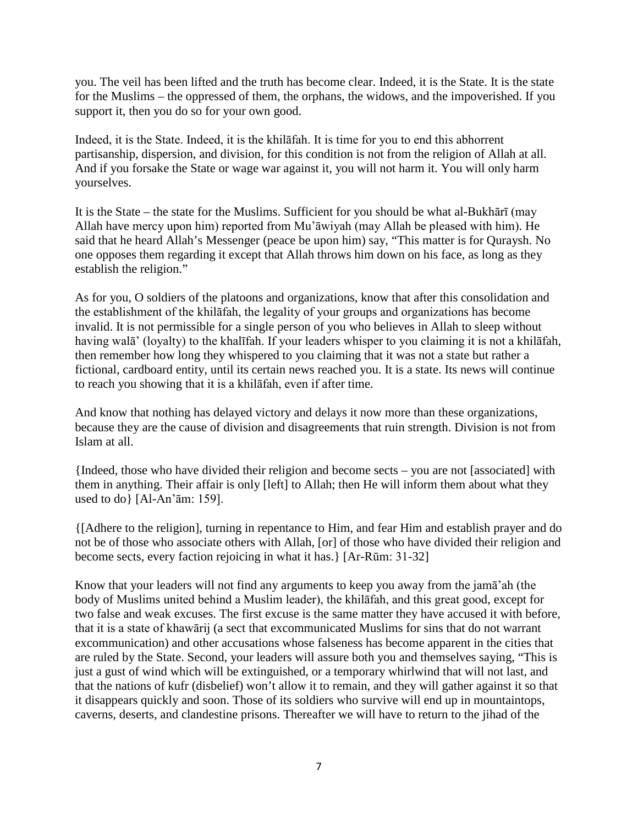you. The veil has been lifted and the truth has become clear. Indeed, it is the State. It is the state for the Muslims – the oppressed of them, the orphans, the widows, and the impoverished. If you support it, then you do so for your own good.

Indeed, it is the State. Indeed, it is the khilāfah. It is time for you to end this abhorrent partisanship, dispersion, and division, for this condition is not from the religion of Allah at all. And if you forsake the State or wage war against it, you will not harm it. You will only harm yourselves.

It is the State – the state for the Muslims. Sufficient for you should be what al-Bukhārī (may Allah have mercy upon him) reported from Mu'āwiyah (may Allah be pleased with him). He said that he heard Allah's Messenger (peace be upon him) say, "This matter is for Quraysh. No one opposes them regarding it except that Allah throws him down on his face, as long as they establish the religion."

As for you, O soldiers of the platoons and organizations, know that after this consolidation and the establishment of the khilāfah, the legality of your groups and organizations has become invalid. It is not permissible for a single person of you who believes in Allah to sleep without having walā' (loyalty) to the khalīfah. If your leaders whisper to you claiming it is not a khilāfah, then remember how long they whispered to you claiming that it was not a state but rather a fictional, cardboard entity, until its certain news reached you. It is a state. Its news will continue to reach you showing that it is a khilāfah, even if after time.

And know that nothing has delayed victory and delays it now more than these organizations, because they are the cause of division and disagreements that ruin strength. Division is not from Islam at all.

{Indeed, those who have divided their religion and become sects – you are not [associated] with them in anything. Their affair is only [left] to Allah; then He will inform them about what they used to do} [Al-An'ām: 159].

{[Adhere to the religion], turning in repentance to Him, and fear Him and establish prayer and do not be of those who associate others with Allah, [or] of those who have divided their religion and become sects, every faction rejoicing in what it has.} [Ar-Rūm: 31-32]

Know that your leaders will not find any arguments to keep you away from the jamā'ah (the body of Muslims united behind a Muslim leader), the khilāfah, and this great good, except for two false and weak excuses. The first excuse is the same matter they have accused it with before, that it is a state of khawārij (a sect that excommunicated Muslims for sins that do not warrant excommunication) and other accusations whose falseness has become apparent in the cities that are ruled by the State. Second, your leaders will assure both you and themselves saying, "This is just a gust of wind which will be extinguished, or a temporary whirlwind that will not last, and that the nations of kufr (disbelief) won't allow it to remain, and they will gather against it so that it disappears quickly and soon. Those of its soldiers who survive will end up in mountaintops, caverns, deserts, and clandestine prisons. Thereafter we will have to return to the jihad of the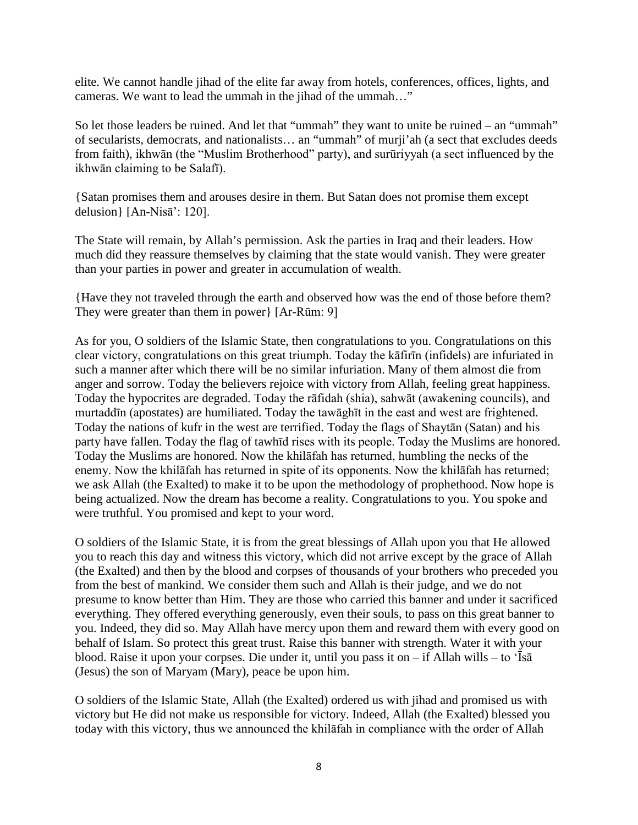elite. We cannot handle jihad of the elite far away from hotels, conferences, offices, lights, and cameras. We want to lead the ummah in the jihad of the ummah…"

So let those leaders be ruined. And let that "ummah" they want to unite be ruined – an "ummah" of secularists, democrats, and nationalists… an "ummah" of murji'ah (a sect that excludes deeds from faith), ikhwān (the "Muslim Brotherhood" party), and surūriyyah (a sect influenced by the ikhwān claiming to be Salafī).

{Satan promises them and arouses desire in them. But Satan does not promise them except delusion} [An-Nisā': 120].

The State will remain, by Allah's permission. Ask the parties in Iraq and their leaders. How much did they reassure themselves by claiming that the state would vanish. They were greater than your parties in power and greater in accumulation of wealth.

{Have they not traveled through the earth and observed how was the end of those before them? They were greater than them in power} [Ar-Rūm: 9]

As for you, O soldiers of the Islamic State, then congratulations to you. Congratulations on this clear victory, congratulations on this great triumph. Today the kāfirīn (infidels) are infuriated in such a manner after which there will be no similar infuriation. Many of them almost die from anger and sorrow. Today the believers rejoice with victory from Allah, feeling great happiness. Today the hypocrites are degraded. Today the rāfidah (shia), sahwāt (awakening councils), and murtaddīn (apostates) are humiliated. Today the tawāghīt in the east and west are frightened. Today the nations of kufr in the west are terrified. Today the flags of Shaytān (Satan) and his party have fallen. Today the flag of tawhīd rises with its people. Today the Muslims are honored. Today the Muslims are honored. Now the khilāfah has returned, humbling the necks of the enemy. Now the khilāfah has returned in spite of its opponents. Now the khilāfah has returned; we ask Allah (the Exalted) to make it to be upon the methodology of prophethood. Now hope is being actualized. Now the dream has become a reality. Congratulations to you. You spoke and were truthful. You promised and kept to your word.

O soldiers of the Islamic State, it is from the great blessings of Allah upon you that He allowed you to reach this day and witness this victory, which did not arrive except by the grace of Allah (the Exalted) and then by the blood and corpses of thousands of your brothers who preceded you from the best of mankind. We consider them such and Allah is their judge, and we do not presume to know better than Him. They are those who carried this banner and under it sacrificed everything. They offered everything generously, even their souls, to pass on this great banner to you. Indeed, they did so. May Allah have mercy upon them and reward them with every good on behalf of Islam. So protect this great trust. Raise this banner with strength. Water it with your blood. Raise it upon your corpses. Die under it, until you pass it on – if Allah wills – to ' $\overline{Isa}$ (Jesus) the son of Maryam (Mary), peace be upon him.

O soldiers of the Islamic State, Allah (the Exalted) ordered us with jihad and promised us with victory but He did not make us responsible for victory. Indeed, Allah (the Exalted) blessed you today with this victory, thus we announced the khilāfah in compliance with the order of Allah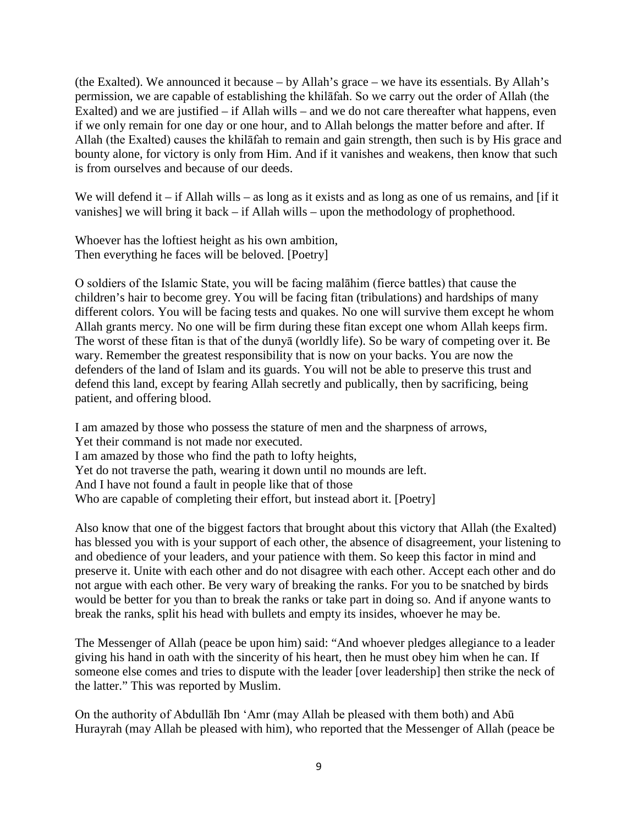(the Exalted). We announced it because – by Allah's grace – we have its essentials. By Allah's permission, we are capable of establishing the khilāfah. So we carry out the order of Allah (the Exalted) and we are justified – if Allah wills – and we do not care thereafter what happens, even if we only remain for one day or one hour, and to Allah belongs the matter before and after. If Allah (the Exalted) causes the khilāfah to remain and gain strength, then such is by His grace and bounty alone, for victory is only from Him. And if it vanishes and weakens, then know that such is from ourselves and because of our deeds.

We will defend it – if Allah wills – as long as it exists and as long as one of us remains, and [if it vanishes] we will bring it back – if Allah wills – upon the methodology of prophethood.

Whoever has the loftiest height as his own ambition, Then everything he faces will be beloved. [Poetry]

O soldiers of the Islamic State, you will be facing malāhim (fierce battles) that cause the children's hair to become grey. You will be facing fitan (tribulations) and hardships of many different colors. You will be facing tests and quakes. No one will survive them except he whom Allah grants mercy. No one will be firm during these fitan except one whom Allah keeps firm. The worst of these fitan is that of the dunyā (worldly life). So be wary of competing over it. Be wary. Remember the greatest responsibility that is now on your backs. You are now the defenders of the land of Islam and its guards. You will not be able to preserve this trust and defend this land, except by fearing Allah secretly and publically, then by sacrificing, being patient, and offering blood.

I am amazed by those who possess the stature of men and the sharpness of arrows, Yet their command is not made nor executed. I am amazed by those who find the path to lofty heights, Yet do not traverse the path, wearing it down until no mounds are left. And I have not found a fault in people like that of those Who are capable of completing their effort, but instead abort it. [Poetry]

Also know that one of the biggest factors that brought about this victory that Allah (the Exalted) has blessed you with is your support of each other, the absence of disagreement, your listening to and obedience of your leaders, and your patience with them. So keep this factor in mind and preserve it. Unite with each other and do not disagree with each other. Accept each other and do not argue with each other. Be very wary of breaking the ranks. For you to be snatched by birds would be better for you than to break the ranks or take part in doing so. And if anyone wants to break the ranks, split his head with bullets and empty its insides, whoever he may be.

The Messenger of Allah (peace be upon him) said: "And whoever pledges allegiance to a leader giving his hand in oath with the sincerity of his heart, then he must obey him when he can. If someone else comes and tries to dispute with the leader [over leadership] then strike the neck of the latter." This was reported by Muslim.

On the authority of Abdullāh Ibn 'Amr (may Allah be pleased with them both) and Abū Hurayrah (may Allah be pleased with him), who reported that the Messenger of Allah (peace be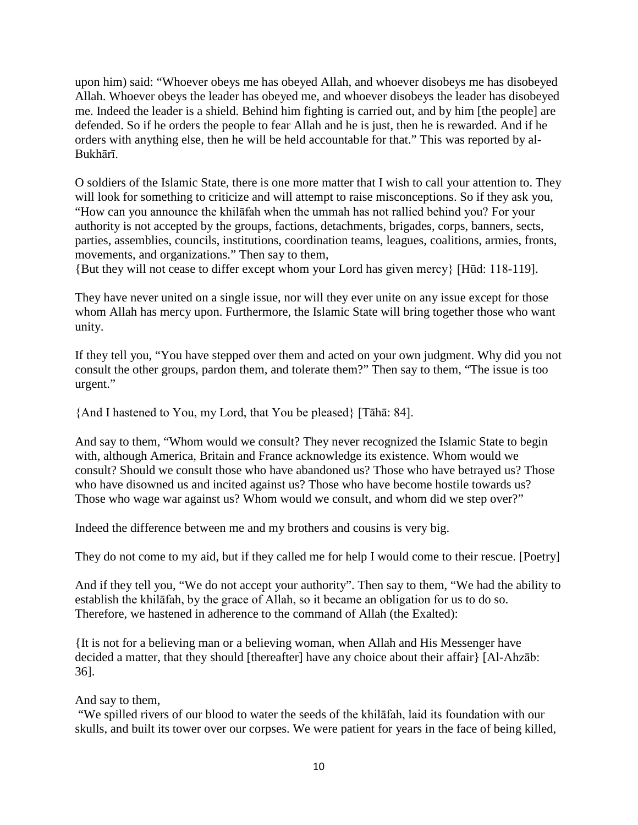upon him) said: "Whoever obeys me has obeyed Allah, and whoever disobeys me has disobeyed Allah. Whoever obeys the leader has obeyed me, and whoever disobeys the leader has disobeyed me. Indeed the leader is a shield. Behind him fighting is carried out, and by him [the people] are defended. So if he orders the people to fear Allah and he is just, then he is rewarded. And if he orders with anything else, then he will be held accountable for that." This was reported by al-Bukhārī.

O soldiers of the Islamic State, there is one more matter that I wish to call your attention to. They will look for something to criticize and will attempt to raise misconceptions. So if they ask you, "How can you announce the khilāfah when the ummah has not rallied behind you? For your authority is not accepted by the groups, factions, detachments, brigades, corps, banners, sects, parties, assemblies, councils, institutions, coordination teams, leagues, coalitions, armies, fronts, movements, and organizations." Then say to them,

{But they will not cease to differ except whom your Lord has given mercy} [Hūd: 118-119].

They have never united on a single issue, nor will they ever unite on any issue except for those whom Allah has mercy upon. Furthermore, the Islamic State will bring together those who want unity.

If they tell you, "You have stepped over them and acted on your own judgment. Why did you not consult the other groups, pardon them, and tolerate them?" Then say to them, "The issue is too urgent."

{And I hastened to You, my Lord, that You be pleased} [Tāhā: 84].

And say to them, "Whom would we consult? They never recognized the Islamic State to begin with, although America, Britain and France acknowledge its existence. Whom would we consult? Should we consult those who have abandoned us? Those who have betrayed us? Those who have disowned us and incited against us? Those who have become hostile towards us? Those who wage war against us? Whom would we consult, and whom did we step over?"

Indeed the difference between me and my brothers and cousins is very big.

They do not come to my aid, but if they called me for help I would come to their rescue. [Poetry]

And if they tell you, "We do not accept your authority". Then say to them, "We had the ability to establish the khilāfah, by the grace of Allah, so it became an obligation for us to do so. Therefore, we hastened in adherence to the command of Allah (the Exalted):

{It is not for a believing man or a believing woman, when Allah and His Messenger have decided a matter, that they should [thereafter] have any choice about their affair} [Al-Ahzāb: 36].

And say to them,

"We spilled rivers of our blood to water the seeds of the khilāfah, laid its foundation with our skulls, and built its tower over our corpses. We were patient for years in the face of being killed,